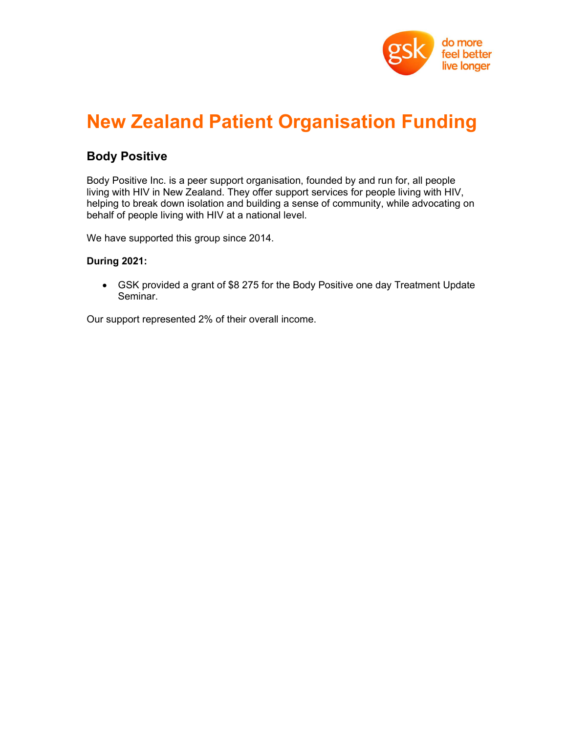

## New Zealand Patient Organisation Funding

### Body Positive

Body Positive Inc. is a peer support organisation, founded by and run for, all people living with HIV in New Zealand. They offer support services for people living with HIV, helping to break down isolation and building a sense of community, while advocating on behalf of people living with HIV at a national level.

We have supported this group since 2014.

#### During 2021:

 GSK provided a grant of \$8 275 for the Body Positive one day Treatment Update Seminar.

Our support represented 2% of their overall income.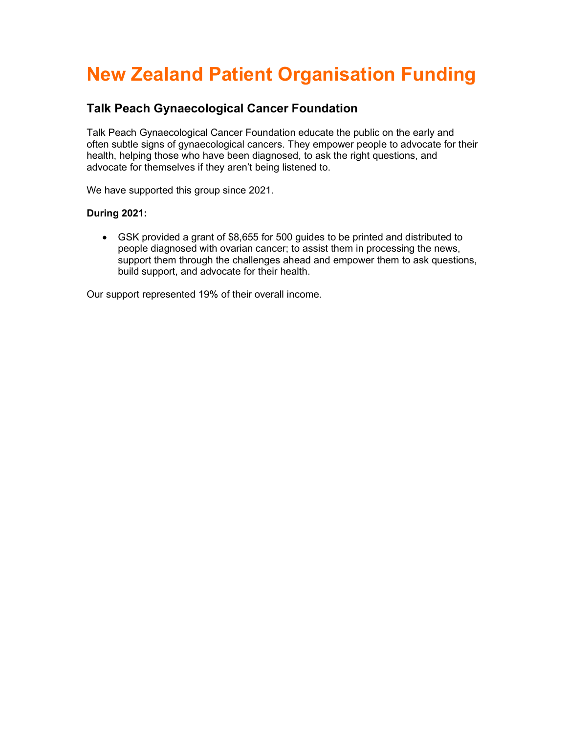# New Zealand Patient Organisation Funding

### Talk Peach Gynaecological Cancer Foundation

Talk Peach Gynaecological Cancer Foundation educate the public on the early and often subtle signs of gynaecological cancers. They empower people to advocate for their health, helping those who have been diagnosed, to ask the right questions, and advocate for themselves if they aren't being listened to.

We have supported this group since 2021.

#### During 2021:

 GSK provided a grant of \$8,655 for 500 guides to be printed and distributed to people diagnosed with ovarian cancer; to assist them in processing the news, support them through the challenges ahead and empower them to ask questions, build support, and advocate for their health.

Our support represented 19% of their overall income.